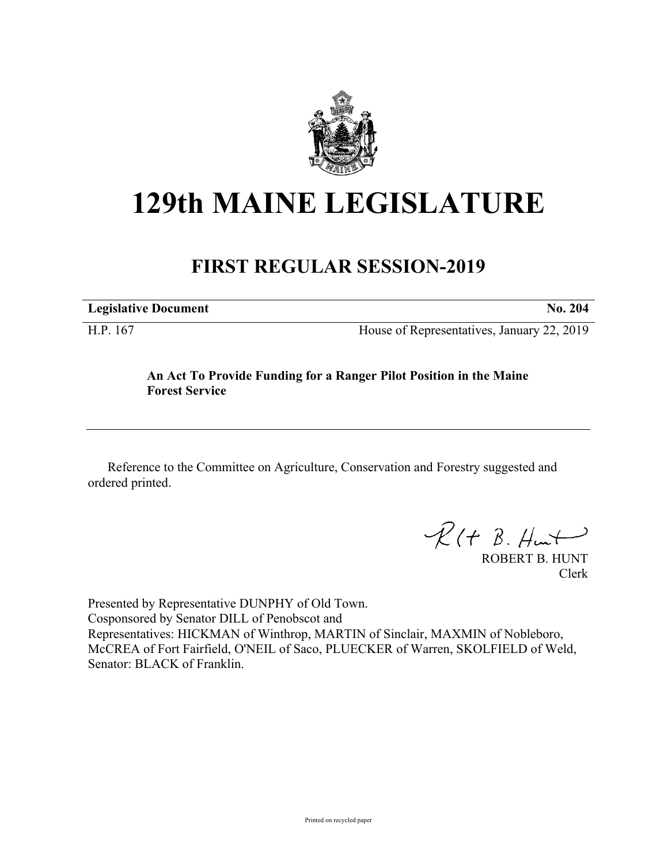

# **129th MAINE LEGISLATURE**

## **FIRST REGULAR SESSION-2019**

**Legislative Document No. 204**

H.P. 167 House of Representatives, January 22, 2019

### **An Act To Provide Funding for a Ranger Pilot Position in the Maine Forest Service**

Reference to the Committee on Agriculture, Conservation and Forestry suggested and ordered printed.

 $\mathcal{R}(t \; \mathcal{B}, \mathcal{H}_{\mathsf{int}})$ 

ROBERT B. HUNT Clerk

Presented by Representative DUNPHY of Old Town. Cosponsored by Senator DILL of Penobscot and Representatives: HICKMAN of Winthrop, MARTIN of Sinclair, MAXMIN of Nobleboro, McCREA of Fort Fairfield, O'NEIL of Saco, PLUECKER of Warren, SKOLFIELD of Weld, Senator: BLACK of Franklin.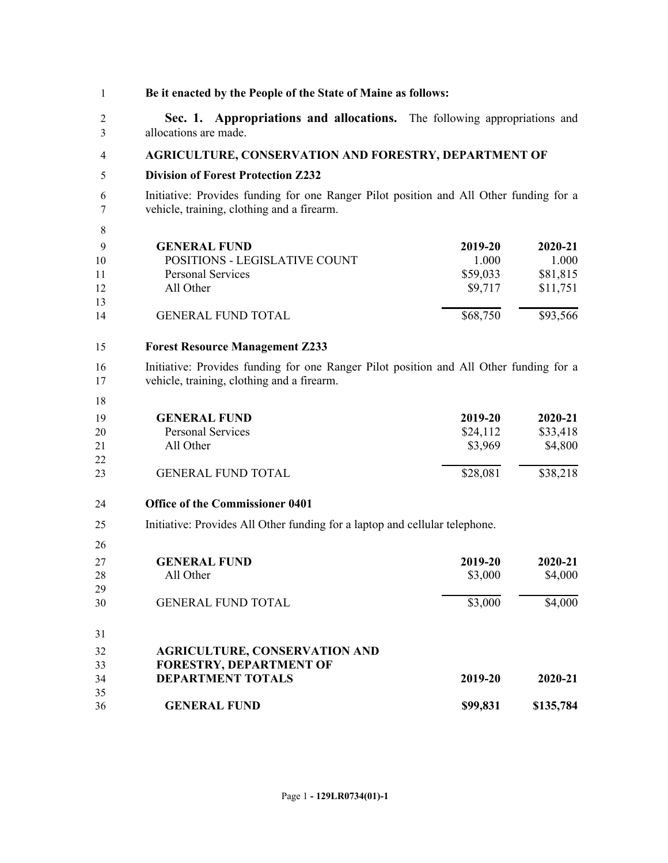| 1                         | Be it enacted by the People of the State of Maine as follows:                                                                        |                                         |                                          |
|---------------------------|--------------------------------------------------------------------------------------------------------------------------------------|-----------------------------------------|------------------------------------------|
| 2<br>3                    | Sec. 1. Appropriations and allocations. The following appropriations and<br>allocations are made.                                    |                                         |                                          |
| 4                         | AGRICULTURE, CONSERVATION AND FORESTRY, DEPARTMENT OF                                                                                |                                         |                                          |
| 5                         | <b>Division of Forest Protection Z232</b>                                                                                            |                                         |                                          |
| 6<br>7                    | Initiative: Provides funding for one Ranger Pilot position and All Other funding for a<br>vehicle, training, clothing and a firearm. |                                         |                                          |
| 8                         |                                                                                                                                      |                                         |                                          |
| 9<br>10<br>11<br>12<br>13 | <b>GENERAL FUND</b><br>POSITIONS - LEGISLATIVE COUNT<br>Personal Services<br>All Other                                               | 2019-20<br>1.000<br>\$59,033<br>\$9,717 | 2020-21<br>1.000<br>\$81,815<br>\$11,751 |
| 14                        | <b>GENERAL FUND TOTAL</b>                                                                                                            | \$68,750                                | \$93,566                                 |
|                           |                                                                                                                                      |                                         |                                          |
| 15                        | <b>Forest Resource Management Z233</b>                                                                                               |                                         |                                          |
| 16<br>17                  | Initiative: Provides funding for one Ranger Pilot position and All Other funding for a<br>vehicle, training, clothing and a firearm. |                                         |                                          |
| 18                        |                                                                                                                                      |                                         |                                          |
| 19                        | <b>GENERAL FUND</b><br><b>Personal Services</b>                                                                                      | 2019-20<br>\$24,112                     | 2020-21<br>\$33,418                      |
| 20<br>21                  | All Other                                                                                                                            | \$3,969                                 | \$4,800                                  |
| 22                        |                                                                                                                                      |                                         |                                          |
| 23                        | <b>GENERAL FUND TOTAL</b>                                                                                                            | \$28,081                                | \$38,218                                 |
| 24                        | <b>Office of the Commissioner 0401</b>                                                                                               |                                         |                                          |
| 25                        | Initiative: Provides All Other funding for a laptop and cellular telephone.                                                          |                                         |                                          |
| 26                        |                                                                                                                                      |                                         |                                          |
| 27                        | <b>GENERAL FUND</b>                                                                                                                  | 2019-20                                 | 2020-21                                  |
| 28                        | All Other                                                                                                                            | \$3,000                                 | \$4,000                                  |
| 29                        |                                                                                                                                      |                                         |                                          |
| 30                        | <b>GENERAL FUND TOTAL</b>                                                                                                            | \$3,000                                 | \$4,000                                  |
| 31                        |                                                                                                                                      |                                         |                                          |
| 32                        | <b>AGRICULTURE, CONSERVATION AND</b>                                                                                                 |                                         |                                          |
| 33                        | <b>FORESTRY, DEPARTMENT OF</b>                                                                                                       |                                         |                                          |
| 34                        | <b>DEPARTMENT TOTALS</b>                                                                                                             | 2019-20                                 | 2020-21                                  |
| 35                        |                                                                                                                                      |                                         |                                          |
| 36                        | <b>GENERAL FUND</b>                                                                                                                  | \$99,831                                | \$135,784                                |